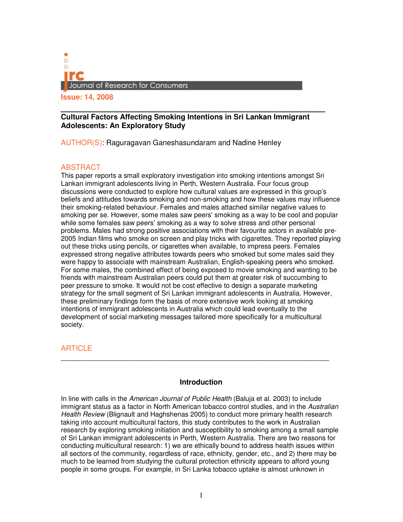

# **\_\_\_\_\_\_\_\_\_\_\_\_\_\_\_\_\_\_\_\_\_\_\_\_\_\_\_\_\_\_\_\_\_\_\_\_\_\_\_\_\_\_\_\_\_\_\_\_ Cultural Factors Affecting Smoking Intentions in Sri Lankan Immigrant Adolescents: An Exploratory Study**

AUTHOR(S): Raguragavan Ganeshasundaram and Nadine Henley

# ABSTRACT

This paper reports a small exploratory investigation into smoking intentions amongst Sri Lankan immigrant adolescents living in Perth, Western Australia. Four focus group discussions were conducted to explore how cultural values are expressed in this group's beliefs and attitudes towards smoking and non-smoking and how these values may influence their smoking-related behaviour. Females and males attached similar negative values to smoking per se. However, some males saw peers' smoking as a way to be cool and popular while some females saw peers' smoking as a way to solve stress and other personal problems. Males had strong positive associations with their favourite actors in available pre-2005 Indian films who smoke on screen and play tricks with cigarettes. They reported playing out these tricks using pencils, or cigarettes when available, to impress peers. Females expressed strong negative attributes towards peers who smoked but some males said they were happy to associate with mainstream Australian, English-speaking peers who smoked. For some males, the combined effect of being exposed to movie smoking and wanting to be friends with mainstream Australian peers could put them at greater risk of succumbing to peer pressure to smoke. It would not be cost effective to design a separate marketing strategy for the small segment of Sri Lankan immigrant adolescents in Australia. However, these preliminary findings form the basis of more extensive work looking at smoking intentions of immigrant adolescents in Australia which could lead eventually to the development of social marketing messages tailored more specifically for a multicultural society.

# **ARTICLE**

## **Introduction**

\_\_\_\_\_\_\_\_\_\_\_\_\_\_\_\_\_\_\_\_\_\_\_\_\_\_\_\_\_\_\_\_\_\_\_\_\_\_\_\_\_\_\_\_\_\_\_\_\_\_\_\_\_\_\_\_\_\_\_\_\_\_\_\_\_

In line with calls in the American Journal of Public Health (Baluja et al. 2003) to include immigrant status as a factor in North American tobacco control studies, and in the Australian Health Review (Blignault and Haghshenas 2005) to conduct more primary health research taking into account multicultural factors, this study contributes to the work in Australian research by exploring smoking initiation and susceptibility to smoking among a small sample of Sri Lankan immigrant adolescents in Perth, Western Australia. There are two reasons for conducting multicultural research: 1) we are ethically bound to address health issues within all sectors of the community, regardless of race, ethnicity, gender, etc., and 2) there may be much to be learned from studying the cultural protection ethnicity appears to afford young people in some groups. For example, in Sri Lanka tobacco uptake is almost unknown in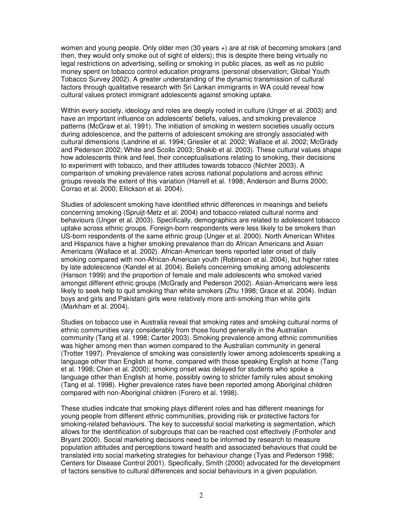women and young people. Only older men (30 years +) are at risk of becoming smokers (and then, they would only smoke out of sight of elders); this is despite there being virtually no legal restrictions on advertising, selling or smoking in public places, as well as no public money spent on tobacco control education programs (personal observation; Global Youth Tobacco Survey 2002). A greater understanding of the dynamic transmission of cultural factors through qualitative research with Sri Lankan immigrants in WA could reveal how cultural values protect immigrant adolescents against smoking uptake.

Within every society, ideology and roles are deeply rooted in culture (Unger et al. 2003) and have an important influence on adolescents' beliefs, values, and smoking prevalence patterns (McGraw et al. 1991). The initiation of smoking in western societies usually occurs during adolescence, and the patterns of adolescent smoking are strongly associated with cultural dimensions (Landrine et al. 1994; Griesler et al. 2002; Wallace et al. 2002; McGrady and Pederson 2002; White and Scollo 2003; Shakib et al. 2003). These cultural values shape how adolescents think and feel, their conceptualisations relating to smoking, their decisions to experiment with tobacco, and their attitudes towards tobacco (Nichter 2003). A comparison of smoking prevalence rates across national populations and across ethnic groups reveals the extent of this variation (Harrell et al. 1998; Anderson and Burns 2000; Corrao et al. 2000; Ellickson et al. 2004).

Studies of adolescent smoking have identified ethnic differences in meanings and beliefs concerning smoking (Spruijt-Metz et al. 2004) and tobacco-related cultural norms and behaviours (Unger et al. 2003). Specifically, demographics are related to adolescent tobacco uptake across ethnic groups. Foreign-born respondents were less likely to be smokers than US-born respondents of the same ethnic group (Unger et al. 2000). North American Whites and Hispanics have a higher smoking prevalence than do African Americans and Asian Americans (Wallace et al. 2002). African-American teens reported later onset of daily smoking compared with non-African-American youth (Robinson et al. 2004), but higher rates by late adolescence (Kandel et al. 2004). Beliefs concerning smoking among adolescents (Hanson 1999) and the proportion of female and male adolescents who smoked varied amongst different ethnic groups (McGrady and Pederson 2002). Asian-Americans were less likely to seek help to quit smoking than white smokers (Zhu 1998; Grace et al. 2004). Indian boys and girls and Pakistani girls were relatively more anti-smoking than white girls (Markham et al. 2004).

Studies on tobacco use in Australia reveal that smoking rates and smoking cultural norms of ethnic communities vary considerably from those found generally in the Australian community (Tang et al. 1998; Carter 2003). Smoking prevalence among ethnic communities was higher among men than women compared to the Australian community in general (Trotter 1997). Prevalence of smoking was consistently lower among adolescents speaking a language other than English at home, compared with those speaking English at home (Tang et al. 1998; Chen et al. 2000); smoking onset was delayed for students who spoke a language other than English at home, possibly owing to stricter family rules about smoking (Tang et al. 1998). Higher prevalence rates have been reported among Aboriginal children compared with non-Aboriginal children (Forero et al. 1998).

These studies indicate that smoking plays different roles and has different meanings for young people from different ethnic communities, providing risk or protective factors for smoking-related behaviours. The key to successful social marketing is segmentation, which allows for the identification of subgroups that can be reached cost effectively (Forthofer and Bryant 2000). Social marketing decisions need to be informed by research to measure population attitudes and perceptions toward health and associated behaviours that could be translated into social marketing strategies for behaviour change (Tyas and Pederson 1998; Centers for Disease Control 2001). Specifically, Smith (2000) advocated for the development of factors sensitive to cultural differences and social behaviours in a given population.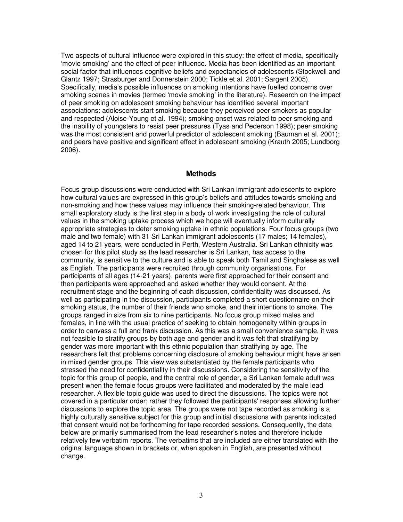Two aspects of cultural influence were explored in this study: the effect of media, specifically 'movie smoking' and the effect of peer influence. Media has been identified as an important social factor that influences cognitive beliefs and expectancies of adolescents (Stockwell and Glantz 1997; Strasburger and Donnerstein 2000; Tickle et al. 2001; Sargent 2005). Specifically, media's possible influences on smoking intentions have fuelled concerns over smoking scenes in movies (termed 'movie smoking' in the literature). Research on the impact of peer smoking on adolescent smoking behaviour has identified several important associations: adolescents start smoking because they perceived peer smokers as popular and respected (Aloise-Young et al. 1994); smoking onset was related to peer smoking and the inability of youngsters to resist peer pressures (Tyas and Pederson 1998); peer smoking was the most consistent and powerful predictor of adolescent smoking (Bauman et al. 2001); and peers have positive and significant effect in adolescent smoking (Krauth 2005; Lundborg 2006).

#### **Methods**

Focus group discussions were conducted with Sri Lankan immigrant adolescents to explore how cultural values are expressed in this group's beliefs and attitudes towards smoking and non-smoking and how these values may influence their smoking-related behaviour. This small exploratory study is the first step in a body of work investigating the role of cultural values in the smoking uptake process which we hope will eventually inform culturally appropriate strategies to deter smoking uptake in ethnic populations. Four focus groups (two male and two female) with 31 Sri Lankan immigrant adolescents (17 males; 14 females), aged 14 to 21 years, were conducted in Perth, Western Australia. Sri Lankan ethnicity was chosen for this pilot study as the lead researcher is Sri Lankan, has access to the community, is sensitive to the culture and is able to speak both Tamil and Singhalese as well as English. The participants were recruited through community organisations. For participants of all ages (14-21 years), parents were first approached for their consent and then participants were approached and asked whether they would consent. At the recruitment stage and the beginning of each discussion, confidentiality was discussed. As well as participating in the discussion, participants completed a short questionnaire on their smoking status, the number of their friends who smoke, and their intentions to smoke. The groups ranged in size from six to nine participants. No focus group mixed males and females, in line with the usual practice of seeking to obtain homogeneity within groups in order to canvass a full and frank discussion. As this was a small convenience sample, it was not feasible to stratify groups by both age and gender and it was felt that stratifying by gender was more important with this ethnic population than stratifying by age. The researchers felt that problems concerning disclosure of smoking behaviour might have arisen in mixed gender groups. This view was substantiated by the female participants who stressed the need for confidentiality in their discussions. Considering the sensitivity of the topic for this group of people, and the central role of gender, a Sri Lankan female adult was present when the female focus groups were facilitated and moderated by the male lead researcher. A flexible topic guide was used to direct the discussions. The topics were not covered in a particular order; rather they followed the participants' responses allowing further discussions to explore the topic area. The groups were not tape recorded as smoking is a highly culturally sensitive subject for this group and initial discussions with parents indicated that consent would not be forthcoming for tape recorded sessions. Consequently, the data below are primarily summarised from the lead researcher's notes and therefore include relatively few verbatim reports. The verbatims that are included are either translated with the original language shown in brackets or, when spoken in English, are presented without change.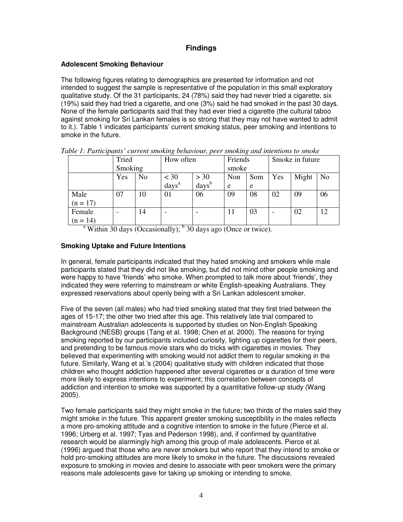# **Findings**

## **Adolescent Smoking Behaviour**

The following figures relating to demographics are presented for information and not intended to suggest the sample is representative of the population in this small exploratory qualitative study. Of the 31 participants, 24 (78%) said they had never tried a cigarette, six (19%) said they had tried a cigarette, and one (3%) said he had smoked in the past 30 days. None of the female participants said that they had ever tried a cigarette (the cultural taboo against smoking for Sri Lankan females is so strong that they may not have wanted to admit to it.). Table 1 indicates participants' current smoking status, peer smoking and intentions to smoke in the future.

|            | Tried   |                | How often                   |                             | Friends |     | Smoke in future |       |                |
|------------|---------|----------------|-----------------------------|-----------------------------|---------|-----|-----------------|-------|----------------|
|            | Smoking |                |                             |                             | smoke   |     |                 |       |                |
|            | Yes     | N <sub>o</sub> | $<$ 30<br>days <sup>a</sup> | $> 30$<br>days <sup>b</sup> | Non     | Som | Yes             | Might | N <sub>o</sub> |
|            |         |                |                             |                             | e       | e   |                 |       |                |
| Male       | 07      | 10             | 01                          | 06                          | 09      | 08  | 02              | 09    | 06             |
| $(n = 17)$ |         |                |                             |                             |         |     |                 |       |                |
| Female     |         | 14             |                             |                             | 11      | 03  | -               | 02    | 12             |
| $(n = 14)$ |         |                |                             |                             |         |     |                 |       |                |

| Table 1: Participants' current smoking behaviour, peer smoking and intentions to smoke |  |
|----------------------------------------------------------------------------------------|--|
|----------------------------------------------------------------------------------------|--|

<sup>a</sup> Within 30 days (Occasionally);  $<sup>b</sup>$  30 days ago (Once or twice).</sup>

## **Smoking Uptake and Future Intentions**

In general, female participants indicated that they hated smoking and smokers while male participants stated that they did not like smoking, but did not mind other people smoking and were happy to have 'friends' who smoke. When prompted to talk more about 'friends', they indicated they were referring to mainstream or white English-speaking Australians. They expressed reservations about openly being with a Sri Lankan adolescent smoker.

Five of the seven (all males) who had tried smoking stated that they first tried between the ages of 15-17; the other two tried after this age. This relatively late trial compared to mainstream Australian adolescents is supported by studies on Non-English Speaking Background (NESB) groups (Tang et al. 1998; Chen et al. 2000). The reasons for trying smoking reported by our participants included curiosity, lighting up cigarettes for their peers, and pretending to be famous movie stars who do tricks with cigarettes in movies. They believed that experimenting with smoking would not addict them to regular smoking in the future. Similarly, Wang et al.'s (2004) qualitative study with children indicated that those children who thought addiction happened after several cigarettes or a duration of time were more likely to express intentions to experiment; this correlation between concepts of addiction and intention to smoke was supported by a quantitative follow-up study (Wang 2005).

Two female participants said they might smoke in the future; two thirds of the males said they might smoke in the future. This apparent greater smoking susceptibility in the males reflects a more pro-smoking attitude and a cognitive intention to smoke in the future (Pierce et al. 1996; Urberg et al. 1997; Tyas and Pederson 1998), and, if confirmed by quantitative research would be alarmingly high among this group of male adolescents. Pierce et al. (1996) argued that those who are never smokers but who report that they intend to smoke or hold pro-smoking attitudes are more likely to smoke in the future. The discussions revealed exposure to smoking in movies and desire to associate with peer smokers were the primary reasons male adolescents gave for taking up smoking or intending to smoke.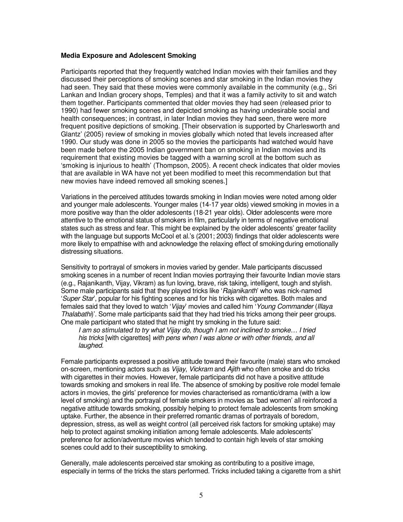#### **Media Exposure and Adolescent Smoking**

Participants reported that they frequently watched Indian movies with their families and they discussed their perceptions of smoking scenes and star smoking in the Indian movies they had seen. They said that these movies were commonly available in the community (e.g., Sri Lankan and Indian grocery shops, Temples) and that it was a family activity to sit and watch them together. Participants commented that older movies they had seen (released prior to 1990) had fewer smoking scenes and depicted smoking as having undesirable social and health consequences; in contrast, in later Indian movies they had seen, there were more frequent positive depictions of smoking. [Their observation is supported by Charlesworth and Glantz' (2005) review of smoking in movies globally which noted that levels increased after 1990. Our study was done in 2005 so the movies the participants had watched would have been made before the 2005 Indian government ban on smoking in Indian movies and its requirement that existing movies be tagged with a warning scroll at the bottom such as 'smoking is injurious to health' (Thompson, 2005). A recent check indicates that older movies that are available in WA have not yet been modified to meet this recommendation but that new movies have indeed removed all smoking scenes.]

Variations in the perceived attitudes towards smoking in Indian movies were noted among older and younger male adolescents. Younger males (14-17 year olds) viewed smoking in movies in a more positive way than the older adolescents (18-21 year olds). Older adolescents were more attentive to the emotional status of smokers in film, particularly in terms of negative emotional states such as stress and fear. This might be explained by the older adolescents' greater facility with the language but supports McCool et al.'s (2001; 2003) findings that older adolescents were more likely to empathise with and acknowledge the relaxing effect of smoking during emotionally distressing situations.

Sensitivity to portrayal of smokers in movies varied by gender. Male participants discussed smoking scenes in a number of recent Indian movies portraying their favourite Indian movie stars (e.g., Rajanikanth, Vijay, Vikram) as fun loving, brave, risk taking, intelligent, tough and stylish. Some male participants said that they played tricks like 'Rajanikanth' who was nick-named 'Super Star', popular for his fighting scenes and for his tricks with cigarettes. Both males and females said that they loved to watch 'Vijay' movies and called him 'Young Commander (Illaya Thalabathi)'. Some male participants said that they had tried his tricks among their peer groups. One male participant who stated that he might try smoking in the future said:

I am so stimulated to try what Vijay do, though I am not inclined to smoke… I tried his tricks [with cigarettes] with pens when I was alone or with other friends, and all laughed.

Female participants expressed a positive attitude toward their favourite (male) stars who smoked on-screen, mentioning actors such as Vijay, Vickram and Ajith who often smoke and do tricks with cigarettes in their movies. However, female participants did not have a positive attitude towards smoking and smokers in real life. The absence of smoking by positive role model female actors in movies, the girls' preference for movies characterised as romantic/drama (with a low level of smoking) and the portrayal of female smokers in movies as 'bad women' all reinforced a negative attitude towards smoking, possibly helping to protect female adolescents from smoking uptake. Further, the absence in their preferred romantic dramas of portrayals of boredom, depression, stress, as well as weight control (all perceived risk factors for smoking uptake) may help to protect against smoking initiation among female adolescents. Male adolescents' preference for action/adventure movies which tended to contain high levels of star smoking scenes could add to their susceptibility to smoking.

Generally, male adolescents perceived star smoking as contributing to a positive image, especially in terms of the tricks the stars performed. Tricks included taking a cigarette from a shirt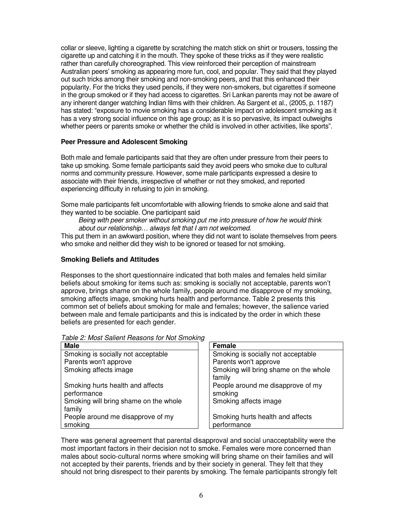collar or sleeve, lighting a cigarette by scratching the match stick on shirt or trousers, tossing the cigarette up and catching it in the mouth. They spoke of these tricks as if they were realistic rather than carefully choreographed. This view reinforced their perception of mainstream Australian peers' smoking as appearing more fun, cool, and popular. They said that they played out such tricks among their smoking and non-smoking peers, and that this enhanced their popularity. For the tricks they used pencils, if they were non-smokers, but cigarettes if someone in the group smoked or if they had access to cigarettes. Sri Lankan parents may not be aware of any inherent danger watching Indian films with their children. As Sargent et al., (2005, p. 1187) has stated: "exposure to movie smoking has a considerable impact on adolescent smoking as it has a very strong social influence on this age group; as it is so pervasive, its impact outweighs whether peers or parents smoke or whether the child is involved in other activities, like sports".

## **Peer Pressure and Adolescent Smoking**

Both male and female participants said that they are often under pressure from their peers to take up smoking. Some female participants said they avoid peers who smoke due to cultural norms and community pressure. However, some male participants expressed a desire to associate with their friends, irrespective of whether or not they smoked, and reported experiencing difficulty in refusing to join in smoking.

Some male participants felt uncomfortable with allowing friends to smoke alone and said that they wanted to be sociable. One participant said

Being with peer smoker without smoking put me into pressure of how he would think about our relationship… always felt that I am not welcomed.

This put them in an awkward position, where they did not want to isolate themselves from peers who smoke and neither did they wish to be ignored or teased for not smoking.

#### **Smoking Beliefs and Attitudes**

Responses to the short questionnaire indicated that both males and females held similar beliefs about smoking for items such as: smoking is socially not acceptable, parents won't approve, brings shame on the whole family, people around me disapprove of my smoking, smoking affects image, smoking hurts health and performance. Table 2 presents this common set of beliefs about smoking for male and females; however, the salience varied between male and female participants and this is indicated by the order in which these beliefs are presented for each gender.

| <b>Male</b>                                     | ັ<br>Female                                     |
|-------------------------------------------------|-------------------------------------------------|
| Smoking is socially not acceptable              | Smoking is socially not acceptable              |
| Parents won't approve                           | Parents won't approve                           |
| Smoking affects image                           | Smoking will bring shame on the whole<br>family |
| Smoking hurts health and affects<br>performance | People around me disapprove of my<br>smoking    |
| Smoking will bring shame on the whole<br>family | Smoking affects image                           |
| People around me disapprove of my<br>smoking    | Smoking hurts health and affects<br>performance |

Table 2: Most Salient Reasons for Not Smoking

There was general agreement that parental disapproval and social unacceptability were the most important factors in their decision not to smoke. Females were more concerned than males about socio-cultural norms where smoking will bring shame on their families and will not accepted by their parents, friends and by their society in general. They felt that they should not bring disrespect to their parents by smoking. The female participants strongly felt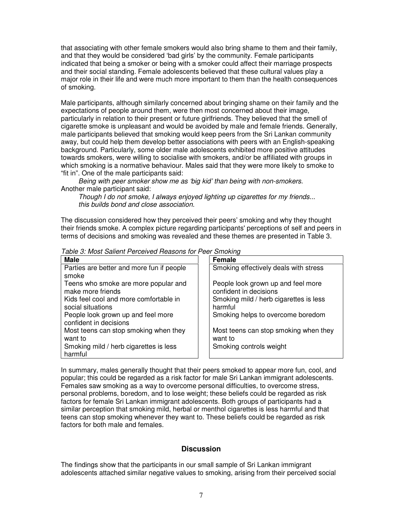that associating with other female smokers would also bring shame to them and their family, and that they would be considered 'bad girls' by the community. Female participants indicated that being a smoker or being with a smoker could affect their marriage prospects and their social standing. Female adolescents believed that these cultural values play a major role in their life and were much more important to them than the health consequences of smoking.

Male participants, although similarly concerned about bringing shame on their family and the expectations of people around them, were then most concerned about their image, particularly in relation to their present or future girlfriends. They believed that the smell of cigarette smoke is unpleasant and would be avoided by male and female friends. Generally, male participants believed that smoking would keep peers from the Sri Lankan community away, but could help them develop better associations with peers with an English-speaking background. Particularly, some older male adolescents exhibited more positive attitudes towards smokers, were willing to socialise with smokers, and/or be affiliated with groups in which smoking is a normative behaviour. Males said that they were more likely to smoke to "fit in". One of the male participants said:

Being with peer smoker show me as 'big kid' than being with non-smokers. Another male participant said:

Though I do not smoke, I always enjoyed lighting up cigarettes for my friends... this builds bond and close association.

The discussion considered how they perceived their peers' smoking and why they thought their friends smoke. A complex picture regarding participants' perceptions of self and peers in terms of decisions and smoking was revealed and these themes are presented in Table 3.

| <b>Male</b>                               | <b>Female</b>                          |
|-------------------------------------------|----------------------------------------|
| Parties are better and more fun if people | Smoking effectively deals with stress  |
| smoke                                     |                                        |
| Teens who smoke are more popular and      | People look grown up and feel more     |
| make more friends                         | confident in decisions                 |
| Kids feel cool and more comfortable in    | Smoking mild / herb cigarettes is less |
| social situations                         | harmful                                |
| People look grown up and feel more        | Smoking helps to overcome boredom      |
| confident in decisions                    |                                        |
| Most teens can stop smoking when they     | Most teens can stop smoking when they  |
| want to                                   | want to                                |
| Smoking mild / herb cigarettes is less    | Smoking controls weight                |
| harmful                                   |                                        |
|                                           |                                        |

Table 3: Most Salient Perceived Reasons for Peer Smoking

In summary, males generally thought that their peers smoked to appear more fun, cool, and popular; this could be regarded as a risk factor for male Sri Lankan immigrant adolescents. Females saw smoking as a way to overcome personal difficulties, to overcome stress, personal problems, boredom, and to lose weight; these beliefs could be regarded as risk factors for female Sri Lankan immigrant adolescents. Both groups of participants had a similar perception that smoking mild, herbal or menthol cigarettes is less harmful and that teens can stop smoking whenever they want to. These beliefs could be regarded as risk factors for both male and females.

## **Discussion**

The findings show that the participants in our small sample of Sri Lankan immigrant adolescents attached similar negative values to smoking, arising from their perceived social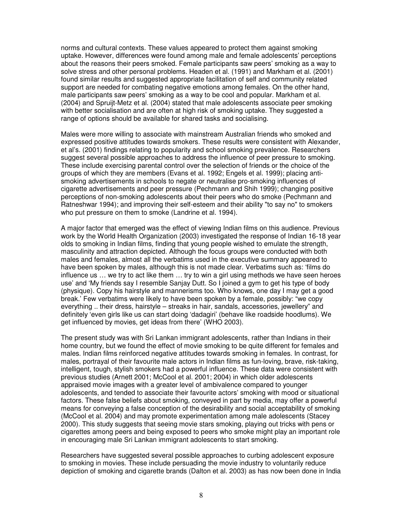norms and cultural contexts. These values appeared to protect them against smoking uptake. However, differences were found among male and female adolescents' perceptions about the reasons their peers smoked. Female participants saw peers' smoking as a way to solve stress and other personal problems. Headen et al. (1991) and Markham et al. (2001) found similar results and suggested appropriate facilitation of self and community related support are needed for combating negative emotions among females. On the other hand, male participants saw peers' smoking as a way to be cool and popular. Markham et al. (2004) and Spruijt-Metz et al. (2004) stated that male adolescents associate peer smoking with better socialisation and are often at high risk of smoking uptake. They suggested a range of options should be available for shared tasks and socialising.

Males were more willing to associate with mainstream Australian friends who smoked and expressed positive attitudes towards smokers. These results were consistent with Alexander, et al's. (2001) findings relating to popularity and school smoking prevalence. Researchers suggest several possible approaches to address the influence of peer pressure to smoking. These include exercising parental control over the selection of friends or the choice of the groups of which they are members (Evans et al. 1992; Engels et al. 1999); placing antismoking advertisements in schools to negate or neutralise pro-smoking influences of cigarette advertisements and peer pressure (Pechmann and Shih 1999); changing positive perceptions of non-smoking adolescents about their peers who do smoke (Pechmann and Ratneshwar 1994); and improving their self-esteem and their ability "to say no" to smokers who put pressure on them to smoke (Landrine et al. 1994).

A major factor that emerged was the effect of viewing Indian films on this audience. Previous work by the World Health Organization (2003) investigated the response of Indian 16-18 year olds to smoking in Indian films, finding that young people wished to emulate the strength, masculinity and attraction depicted. Although the focus groups were conducted with both males and females, almost all the verbatims used in the executive summary appeared to have been spoken by males, although this is not made clear. Verbatims such as: 'films do influence us … we try to act like them … try to win a girl using methods we have seen heroes use' and 'My friends say I resemble Sanjay Dutt. So I joined a gym to get his type of body (physique). Copy his hairstyle and mannerisms too. Who knows, one day I may get a good break.' Few verbatims were likely to have been spoken by a female, possibly: "we copy everything .. their dress, hairstyle – streaks in hair, sandals, accessories, jewellery" and definitely 'even girls like us can start doing 'dadagiri' (behave like roadside hoodlums). We get influenced by movies, get ideas from there' (WHO 2003).

The present study was with Sri Lankan immigrant adolescents, rather than Indians in their home country, but we found the effect of movie smoking to be quite different for females and males. Indian films reinforced negative attitudes towards smoking in females. In contrast, for males, portrayal of their favourite male actors in Indian films as fun-loving, brave, risk-taking, intelligent, tough, stylish smokers had a powerful influence. These data were consistent with previous studies (Arnett 2001; McCool et al. 2001; 2004) in which older adolescents appraised movie images with a greater level of ambivalence compared to younger adolescents, and tended to associate their favourite actors' smoking with mood or situational factors. These false beliefs about smoking, conveyed in part by media, may offer a powerful means for conveying a false conception of the desirability and social acceptability of smoking (McCool et al. 2004) and may promote experimentation among male adolescents (Stacey 2000). This study suggests that seeing movie stars smoking, playing out tricks with pens or cigarettes among peers and being exposed to peers who smoke might play an important role in encouraging male Sri Lankan immigrant adolescents to start smoking.

Researchers have suggested several possible approaches to curbing adolescent exposure to smoking in movies. These include persuading the movie industry to voluntarily reduce depiction of smoking and cigarette brands (Dalton et al. 2003) as has now been done in India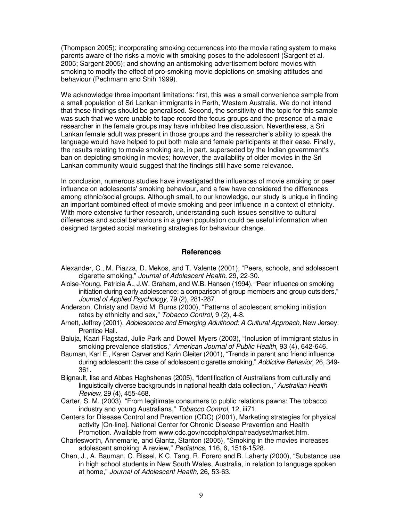(Thompson 2005); incorporating smoking occurrences into the movie rating system to make parents aware of the risks a movie with smoking poses to the adolescent (Sargent et al. 2005; Sargent 2005); and showing an antismoking advertisement before movies with smoking to modify the effect of pro-smoking movie depictions on smoking attitudes and behaviour (Pechmann and Shih 1999).

We acknowledge three important limitations: first, this was a small convenience sample from a small population of Sri Lankan immigrants in Perth, Western Australia. We do not intend that these findings should be generalised. Second, the sensitivity of the topic for this sample was such that we were unable to tape record the focus groups and the presence of a male researcher in the female groups may have inhibited free discussion. Nevertheless, a Sri Lankan female adult was present in those groups and the researcher's ability to speak the language would have helped to put both male and female participants at their ease. Finally, the results relating to movie smoking are, in part, superseded by the Indian government's ban on depicting smoking in movies; however, the availability of older movies in the Sri Lankan community would suggest that the findings still have some relevance.

In conclusion, numerous studies have investigated the influences of movie smoking or peer influence on adolescents' smoking behaviour, and a few have considered the differences among ethnic/social groups. Although small, to our knowledge, our study is unique in finding an important combined effect of movie smoking and peer influence in a context of ethnicity. With more extensive further research, understanding such issues sensitive to cultural differences and social behaviours in a given population could be useful information when designed targeted social marketing strategies for behaviour change.

#### **References**

- Alexander, C., M. Piazza, D. Mekos, and T. Valente (2001), "Peers, schools, and adolescent cigarette smoking," Journal of Adolescent Health, 29, 22-30.
- Aloise-Young, Patricia A., J.W. Graham, and W.B. Hansen (1994), "Peer influence on smoking initiation during early adolescence: a comparison of group members and group outsiders," Journal of Applied Psychology, 79 (2), 281-287.
- Anderson, Christy and David M. Burns (2000), "Patterns of adolescent smoking initiation rates by ethnicity and sex," Tobacco Control, 9 (2), 4-8.
- Arnett, Jeffrey (2001), Adolescence and Emerging Adulthood: A Cultural Approach, New Jersey: Prentice Hall.
- Baluja, Kaari Flagstad, Julie Park and Dowell Myers (2003), "Inclusion of immigrant status in smoking prevalence statistics," American Journal of Public Health, 93 (4), 642-646.
- Bauman, Karl E., Karen Carver and Karin Gleiter (2001), "Trends in parent and friend influence during adolescent: the case of adolescent cigarette smoking," Addictive Behavior, 26, 349-361.
- Blignault, Ilse and Abbas Haghshenas (2005), "Identification of Australians from culturally and linguistically diverse backgrounds in national health data collection.," Australian Health Review, 29 (4), 455-468.
- Carter, S. M. (2003), "From legitimate consumers to public relations pawns: The tobacco industry and young Australians," Tobacco Control, 12, iii71.
- Centers for Disease Control and Prevention (CDC) (2001), Marketing strategies for physical activity [On-line]. National Center for Chronic Disease Prevention and Health Promotion. Available from www.cdc.gov/nccdphp/dnpa/readyset/market.htm.
- Charlesworth, Annemarie, and Glantz, Stanton (2005), "Smoking in the movies increases adolescent smoking: A review," Pediatrics, 116, 6, 1516-1528.
- Chen, J., A. Bauman, C. Rissel, K.C. Tang, R. Forero and B. Laherty (2000), "Substance use in high school students in New South Wales, Australia, in relation to language spoken at home," Journal of Adolescent Health, 26, 53-63.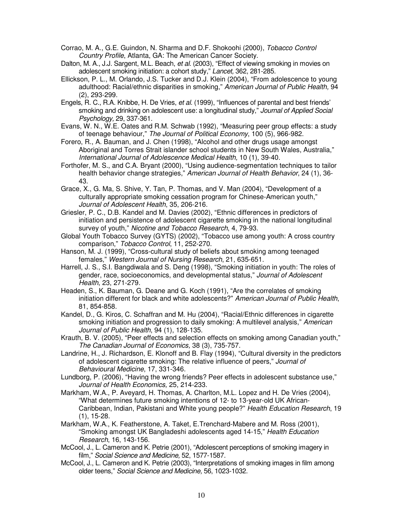- Corrao, M. A., G.E. Guindon, N. Sharma and D.F. Shokoohi (2000), Tobacco Control Country Profile, Atlanta, GA: The American Cancer Society.
- Dalton, M. A., J.J. Sargent, M.L. Beach, et al. (2003), "Effect of viewing smoking in movies on adolescent smoking initiation: a cohort study," Lancet, 362, 281-285.
- Ellickson, P. L., M. Orlando, J.S. Tucker and D.J. Klein (2004), "From adolescence to young adulthood: Racial/ethnic disparities in smoking," American Journal of Public Health, 94 (2), 293-299.
- Engels, R. C., R.A. Knibbe, H. De Vries, et al. (1999), "Influences of parental and best friends' smoking and drinking on adolescent use: a longitudinal study," Journal of Applied Social Psychology, 29, 337-361.
- Evans, W. N., W.E. Oates and R.M. Schwab (1992), "Measuring peer group effects: a study of teenage behaviour," The Journal of Political Economy, 100 (5), 966-982.
- Forero, R., A. Bauman, and J. Chen (1998), "Alcohol and other drugs usage amongst Aboriginal and Torres Strait islander school students in New South Wales, Australia," International Journal of Adolescence Medical Health, 10 (1), 39-40.
- Forthofer, M. S., and C.A. Bryant (2000), "Using audience-segmentation techniques to tailor health behavior change strategies," American Journal of Health Behavior, 24 (1), 36- 43.
- Grace, X., G. Ma, S. Shive, Y. Tan, P. Thomas, and V. Man (2004), "Development of a culturally appropriate smoking cessation program for Chinese-American youth," Journal of Adolescent Health, 35, 206-216.
- Griesler, P. C., D.B. Kandel and M. Davies (2002), "Ethnic differences in predictors of initiation and persistence of adolescent cigarette smoking in the national longitudinal survey of youth," Nicotine and Tobacco Research, 4, 79-93.
- Global Youth Tobacco Survey (GYTS) (2002), "Tobacco use among youth: A cross country comparison," Tobacco Control, 11, 252-270.
- Hanson, M. J. (1999), "Cross-cultural study of beliefs about smoking among teenaged females," Western Journal of Nursing Research, 21, 635-651.
- Harrell, J. S., S.I. Bangdiwala and S. Deng (1998), "Smoking initiation in youth: The roles of gender, race, socioeconomics, and developmental status," Journal of Adolescent Health, 23, 271-279.
- Headen, S., K. Bauman, G. Deane and G. Koch (1991), "Are the correlates of smoking initiation different for black and white adolescents?" American Journal of Public Health, 81, 854-858.
- Kandel, D., G. Kiros, C. Schaffran and M. Hu (2004), "Racial/Ethnic differences in cigarette smoking initiation and progression to daily smoking: A multilevel analysis," American Journal of Public Health, 94 (1), 128-135.
- Krauth, B. V. (2005), "Peer effects and selection effects on smoking among Canadian youth," The Canadian Journal of Economics, 38 (3), 735-757.
- Landrine, H., J. Richardson, E. Klonoff and B. Flay (1994), "Cultural diversity in the predictors of adolescent cigarette smoking: The relative influence of peers," Journal of Behavioural Medicine, 17, 331-346.
- Lundborg, P. (2006), "Having the wrong friends? Peer effects in adolescent substance use," Journal of Health Economics, 25, 214-233.
- Markham, W.A., P. Aveyard, H. Thomas, A. Charlton, M.L. Lopez and H. De Vries (2004), "What determines future smoking intentions of 12- to 13-year-old UK African-Caribbean, Indian, Pakistani and White young people?" Health Education Research, 19 (1), 15-28.
- Markham, W.A., K. Featherstone, A. Taket, E.Trenchard-Mabere and M. Ross (2001), "Smoking amongst UK Bangladeshi adolescents aged 14-15," Health Education Research, 16, 143-156.
- McCool, J., L. Cameron and K. Petrie (2001), "Adolescent perceptions of smoking imagery in film," Social Science and Medicine, 52, 1577-1587.
- McCool, J., L. Cameron and K. Petrie (2003), "Interpretations of smoking images in film among older teens," Social Science and Medicine, 56, 1023-1032.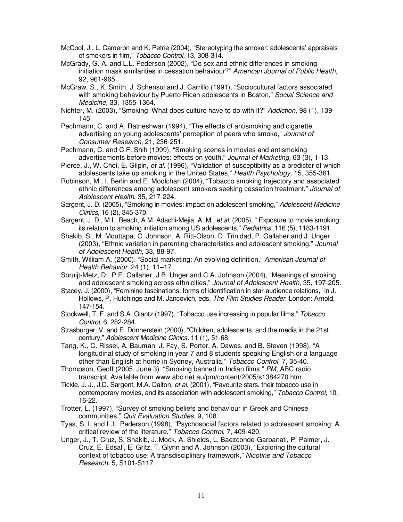- McCool, J., L. Cameron and K. Petrie (2004), "Stereotyping the smoker: adolescents' appraisals of smokers in film," Tobacco Control, 13, 308-314.
- McGrady, G. A. and L.L. Pederson (2002), "Do sex and ethnic differences in smoking initiation mask similarities in cessation behaviour?" American Journal of Public Health, 92, 961-965.
- McGraw, S., K. Smith, J. Schensul and J. Carrillo (1991), "Sociocultural factors associated with smoking behaviour by Puerto Rican adolescents in Boston," Social Science and Medicine, 33, 1355-1364.
- Nichter, M. (2003), "Smoking: What does culture have to do with it?" Addiction, 98 (1), 139- 145.
- Pechmann, C. and A. Ratneshwar (1994), "The effects of antismoking and cigarette advertising on young adolescents' perception of peers who smoke," Journal of Consumer Research, 21, 236-251.
- Pechmann, C. and C.F. Shih (1999), "Smoking scenes in movies and antismoking advertisements before movies: effects on youth," Journal of Marketing, 63 (3), 1-13.
- Pierce, J., W. Choi, E. Gilpin, et al. (1996), "Validation of susceptibility as a predictor of which adolescents take up smoking in the United States," Health Psychology, 15, 355-361.
- Robinson, M., I. Berlin and E. Moolchan (2004), "Tobacco smoking trajectory and associated ethnic differences among adolescent smokers seeking cessation treatment," Journal of Adolescent Health, 35, 217-224.
- Sargent, J. D. (2005), "Smoking in movies: impact on adolescent smoking," Adolescent Medicine Clinics, 16 (2), 345-370.
- Sargent, J. D., M.L. Beach, A.M. Adachi-Mejia, A. M., et al. (2005), " Exposure to movie smoking: its relation to smoking initiation among US adolescents," Pediatrics ,116 (5), 1183-1191.
- Shakib, S., M. Mouttapa, C. Johnson, A. Ritt-Olson, D. Trinidad, P. Gallaher and J. Unger (2003), "Ethnic variation in parenting characteristics and adolescent smoking," Journal of Adolescent Health, 33, 88-97.
- Smith, William A. (2000). "Social marketing: An evolving definition," American Journal of Health Behavior. 24 (1), 11–17.
- Spruijt-Metz, D., P.E. Gallaher, J.B. Unger and C.A. Johnson (2004), "Meanings of smoking and adolescent smoking across ethnicities," Journal of Adolescent Health, 35, 197-205.
- Stacey, J. (2000), "Feminine fascinations: forms of identification in star-audience relations," in J. Hollows, P. Hutchings and M. Jancovich, eds. The Film Studies Reader. London: Arnold, 147-154.
- Stockwell, T. F. and S.A. Glantz (1997), "Tobacco use increasing in popular films," Tobacco Control, 6, 282-284.
- Strasburger, V. and E. Donnerstein (2000), "Children, adolescents, and the media in the 21st century," Adolescent Medicine Clinics, 11 (1), 51-68.
- Tang, K., C. Rissel, A. Bauman, J. Fay, S. Porter, A. Dawes, and B. Steven (1998). "A longitudinal study of smoking in year 7 and 8 students speaking English or a language other than English at home in Sydney, Australia," Tobacco Control, 7, 35-40.
- Thompson, Geoff (2005, June 3). "Smoking banned in Indian films." PM, ABC radio transcript. Available from www.abc.net.au/pm/content/2005/s1384270.htm.
- Tickle, J. J., J.D. Sargent, M.A. Dalton, et al. (2001), "Favourite stars, their tobacco use in contemporary movies, and its association with adolescent smoking," Tobacco Control, 10, 16-22.
- Trotter, L. (1997), "Survey of smoking beliefs and behaviour in Greek and Chinese communities," Quit Evaluation Studies, 9, 108.
- Tyas, S. I. and L.L. Pederson (1998), "Psychosocial factors related to adolescent smoking: A critical review of the literature," Tobacco Control, 7, 409-420.
- Unger, J., T. Cruz, S. Shakib, J. Mock, A. Shields, L. Baezconde-Garbanati, P. Palmer, J. Cruz, E. Edsall, E. Gritz, T. Glynn and A. Johnson (2003), "Exploring the cultural context of tobacco use: A transdisciplinary framework," Nicotine and Tobacco Research, 5, S101-S117.